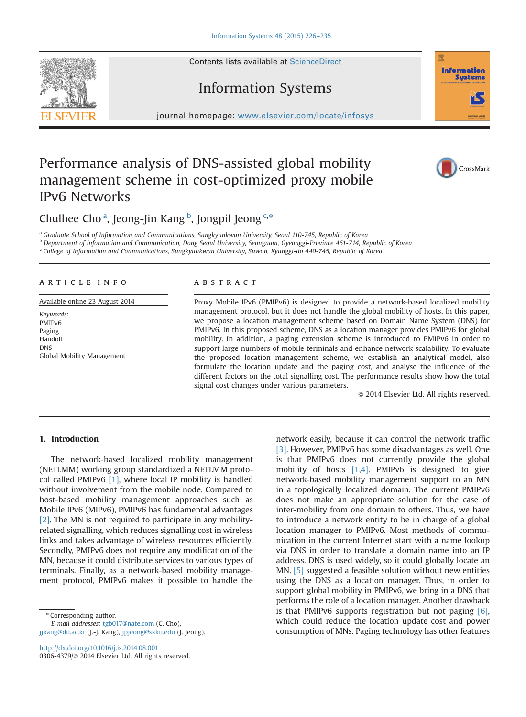# Information Systems

journal homepage: <www.elsevier.com/locate/infosys>

## Performance analysis of DNS-assisted global mobility management scheme in cost-optimized proxy mobile IPv6 Networks

Chulhee Cho<sup>a</sup>, Jeong-Jin Kang<sup>b</sup>, Jongpil Jeong<sup>c,\*</sup>

a Graduate School of Information and Communications, Sungkyunkwan University, Seoul 110-745, Republic of Korea **b Department of Information and Communication, Dong Seoul University, Seongnam, Gyeonggi-Province 461-714, Republic of Korea** 

<sup>c</sup> College of Information and Communications, Sungkyunkwan University, Suwon, Kyunggi-do 440-745, Republic of Korea

### article info

Available online 23 August 2014

Keywords: PMIPv6 Paging Handoff DNS Global Mobility Management

## **ABSTRACT**

Proxy Mobile IPv6 (PMIPv6) is designed to provide a network-based localized mobility management protocol, but it does not handle the global mobility of hosts. In this paper, we propose a location management scheme based on Domain Name System (DNS) for PMIPv6. In this proposed scheme, DNS as a location manager provides PMIPv6 for global mobility. In addition, a paging extension scheme is introduced to PMIPv6 in order to support large numbers of mobile terminals and enhance network scalability. To evaluate the proposed location management scheme, we establish an analytical model, also formulate the location update and the paging cost, and analyse the influence of the different factors on the total signalling cost. The performance results show how the total signal cost changes under various parameters.

 $\odot$  2014 Elsevier Ltd. All rights reserved.

#### 1. Introduction

The network-based localized mobility management (NETLMM) working group standardized a NETLMM protocol called PMIPv6 [1], where local IP mobility is handled without involvement from the mobile node. Compared to host-based mobility management approaches such as Mobile IPv6 (MIPv6), PMIPv6 has fundamental advantages [2]. The MN is not required to participate in any mobilityrelated signalling, which reduces signalling cost in wireless links and takes advantage of wireless resources efficiently. Secondly, PMIPv6 does not require any modification of the MN, because it could distribute services to various types of terminals. Finally, as a network-based mobility management protocol, PMIPv6 makes it possible to handle the

Corresponding author. E-mail addresses: [tgb017@nate.com](mailto:tgb017@nate.com) (C. Cho), [jjkang@du.ac.kr](mailto:jjkang@du.ac.kr) (J.-J. Kang), [jpjeong@skku.edu](mailto:jpjeong@skku.edu) (J. Jeong).

<http://dx.doi.org/10.1016/j.is.2014.08.001> 0306-4379/@ 2014 Elsevier Ltd. All rights reserved.

network easily, because it can control the network traffic [3]. However, PMIPv6 has some disadvantages as well. One is that PMIPv6 does not currently provide the global mobility of hosts [1,4]. PMIPv6 is designed to give network-based mobility management support to an MN in a topologically localized domain. The current PMIPv6 does not make an appropriate solution for the case of inter-mobility from one domain to others. Thus, we have to introduce a network entity to be in charge of a global location manager to PMIPv6. Most methods of communication in the current Internet start with a name lookup via DNS in order to translate a domain name into an IP address. DNS is used widely, so it could globally locate an MN. [5] suggested a feasible solution without new entities using the DNS as a location manager. Thus, in order to support global mobility in PMIPv6, we bring in a DNS that performs the role of a location manager. Another drawback is that PMIPv6 supports registration but not paging [6], which could reduce the location update cost and power consumption of MNs. Paging technology has other features





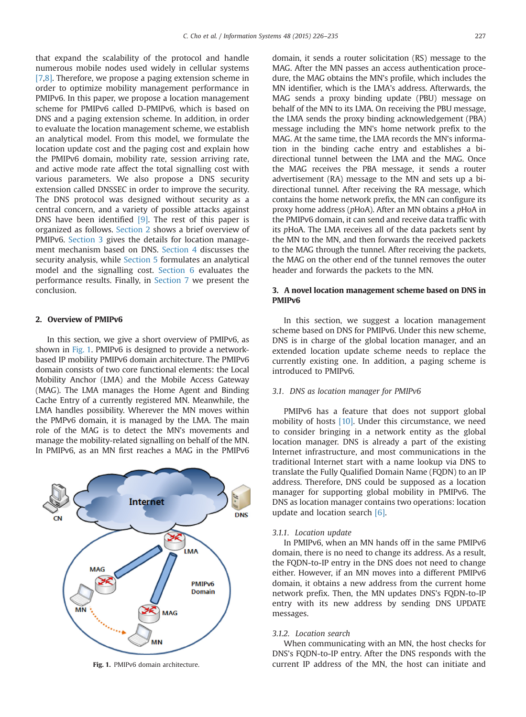that expand the scalability of the protocol and handle numerous mobile nodes used widely in cellular systems [7,8]. Therefore, we propose a paging extension scheme in order to optimize mobility management performance in PMIPv6. In this paper, we propose a location management scheme for PMIPv6 called D-PMIPv6, which is based on DNS and a paging extension scheme. In addition, in order to evaluate the location management scheme, we establish an analytical model. From this model, we formulate the location update cost and the paging cost and explain how the PMIPv6 domain, mobility rate, session arriving rate, and active mode rate affect the total signalling cost with various parameters. We also propose a DNS security extension called DNSSEC in order to improve the security. The DNS protocol was designed without security as a central concern, and a variety of possible attacks against DNS have been identified [9]. The rest of this paper is organized as follows. Section 2 shows a brief overview of PMIPv6. Section 3 gives the details for location management mechanism based on DNS. Section 4 discusses the security analysis, while Section 5 formulates an analytical model and the signalling cost. Section 6 evaluates the performance results. Finally, in Section 7 we present the conclusion.

#### 2. Overview of PMIPv6

In this section, we give a short overview of PMIPv6, as shown in Fig. 1. PMIPv6 is designed to provide a networkbased IP mobility PMIPv6 domain architecture. The PMIPv6 domain consists of two core functional elements: the Local Mobility Anchor (LMA) and the Mobile Access Gateway (MAG). The LMA manages the Home Agent and Binding Cache Entry of a currently registered MN. Meanwhile, the LMA handles possibility. Wherever the MN moves within the PMPv6 domain, it is managed by the LMA. The main role of the MAG is to detect the MN's movements and manage the mobility-related signalling on behalf of the MN. In PMIPv6, as an MN first reaches a MAG in the PMIPv6



domain, it sends a router solicitation (RS) message to the MAG. After the MN passes an access authentication procedure, the MAG obtains the MN's profile, which includes the MN identifier, which is the LMA's address. Afterwards, the MAG sends a proxy binding update (PBU) message on behalf of the MN to its LMA. On receiving the PBU message, the LMA sends the proxy binding acknowledgement (PBA) message including the MN's home network prefix to the MAG. At the same time, the LMA records the MN's information in the binding cache entry and establishes a bidirectional tunnel between the LMA and the MAG. Once the MAG receives the PBA message, it sends a router advertisement (RA) message to the MN and sets up a bidirectional tunnel. After receiving the RA message, which contains the home network prefix, the MN can configure its proxy home address (pHoA). After an MN obtains a pHoA in the PMIPv6 domain, it can send and receive data traffic with its pHoA. The LMA receives all of the data packets sent by the MN to the MN, and then forwards the received packets to the MAG through the tunnel. After receiving the packets, the MAG on the other end of the tunnel removes the outer header and forwards the packets to the MN.

#### 3. A novel location management scheme based on DNS in PMIPv6

In this section, we suggest a location management scheme based on DNS for PMIPv6. Under this new scheme, DNS is in charge of the global location manager, and an extended location update scheme needs to replace the currently existing one. In addition, a paging scheme is introduced to PMIPv6.

#### 3.1. DNS as location manager for PMIPv6

PMIPv6 has a feature that does not support global mobility of hosts [10]. Under this circumstance, we need to consider bringing in a network entity as the global location manager. DNS is already a part of the existing Internet infrastructure, and most communications in the traditional Internet start with a name lookup via DNS to translate the Fully Qualified Domain Name (FQDN) to an IP address. Therefore, DNS could be supposed as a location manager for supporting global mobility in PMIPv6. The DNS as location manager contains two operations: location update and location search [6].

#### 3.1.1. Location update

In PMIPv6, when an MN hands off in the same PMIPv6 domain, there is no need to change its address. As a result, the FQDN-to-IP entry in the DNS does not need to change either. However, if an MN moves into a different PMIPv6 domain, it obtains a new address from the current home network prefix. Then, the MN updates DNS's FQDN-to-IP entry with its new address by sending DNS UPDATE messages.

#### 3.1.2. Location search

When communicating with an MN, the host checks for DNS's FQDN-to-IP entry. After the DNS responds with the Fig. 1. PMIPv6 domain architecture. current IP address of the MN, the host can initiate and